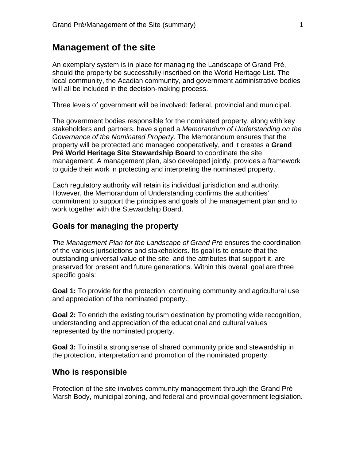### **Management of the site**

An exemplary system is in place for managing the Landscape of Grand Pré, should the property be successfully inscribed on the World Heritage List. The local community, the Acadian community, and government administrative bodies will all be included in the decision-making process.

Three levels of government will be involved: federal, provincial and municipal.

The government bodies responsible for the nominated property, along with key stakeholders and partners, have signed a *Memorandum of Understanding on the Governance of the Nominated Property*. The Memorandum ensures that the property will be protected and managed cooperatively, and it creates a **Grand Pré World Heritage Site Stewardship Board** to coordinate the site management. A management plan, also developed jointly, provides a framework to guide their work in protecting and interpreting the nominated property.

Each regulatory authority will retain its individual jurisdiction and authority. However, the Memorandum of Understanding confirms the authorities' commitment to support the principles and goals of the management plan and to work together with the Stewardship Board.

#### **Goals for managing the property**

*The Management Plan for the Landscape of Grand Pré* ensures the coordination of the various jurisdictions and stakeholders. Its goal is to ensure that the outstanding universal value of the site, and the attributes that support it, are preserved for present and future generations. Within this overall goal are three specific goals:

**Goal 1:** To provide for the protection, continuing community and agricultural use and appreciation of the nominated property.

**Goal 2:** To enrich the existing tourism destination by promoting wide recognition, understanding and appreciation of the educational and cultural values represented by the nominated property.

**Goal 3:** To instil a strong sense of shared community pride and stewardship in the protection, interpretation and promotion of the nominated property.

### **Who is responsible**

Protection of the site involves community management through the Grand Pré Marsh Body, municipal zoning, and federal and provincial government legislation.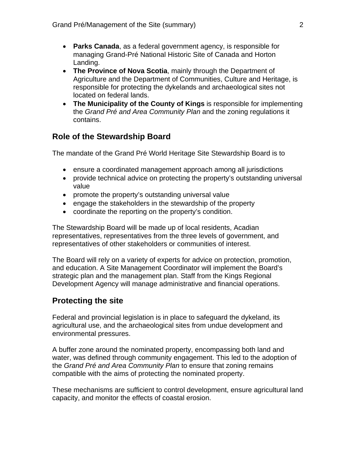- **Parks Canada**, as a federal government agency, is responsible for managing Grand-Pré National Historic Site of Canada and Horton Landing.
- **The Province of Nova Scotia**, mainly through the Department of Agriculture and the Department of Communities, Culture and Heritage, is responsible for protecting the dykelands and archaeological sites not located on federal lands.
- **The Municipality of the County of Kings** is responsible for implementing the *Grand Pré and Area Community Plan* and the zoning regulations it contains.

# **Role of the Stewardship Board**

The mandate of the Grand Pré World Heritage Site Stewardship Board is to

- ensure a coordinated management approach among all jurisdictions
- provide technical advice on protecting the property's outstanding universal value
- promote the property's outstanding universal value
- engage the stakeholders in the stewardship of the property
- coordinate the reporting on the property's condition.

The Stewardship Board will be made up of local residents, Acadian representatives, representatives from the three levels of government, and representatives of other stakeholders or communities of interest.

The Board will rely on a variety of experts for advice on protection, promotion, and education. A Site Management Coordinator will implement the Board's strategic plan and the management plan. Staff from the Kings Regional Development Agency will manage administrative and financial operations.

# **Protecting the site**

Federal and provincial legislation is in place to safeguard the dykeland, its agricultural use, and the archaeological sites from undue development and environmental pressures.

A buffer zone around the nominated property, encompassing both land and water, was defined through community engagement. This led to the adoption of the *Grand Pré and Area Community Plan* to ensure that zoning remains compatible with the aims of protecting the nominated property.

These mechanisms are sufficient to control development, ensure agricultural land capacity, and monitor the effects of coastal erosion.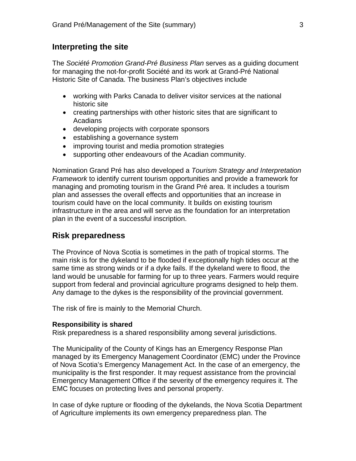### **Interpreting the site**

The *Société Promotion Grand-Pré Business Plan* serves as a guiding document for managing the not-for-profit Société and its work at Grand-Pré National Historic Site of Canada. The business Plan's objectives include

- working with Parks Canada to deliver visitor services at the national historic site
- creating partnerships with other historic sites that are significant to Acadians
- developing projects with corporate sponsors
- establishing a governance system
- improving tourist and media promotion strategies
- supporting other endeavours of the Acadian community.

Nomination Grand Pré has also developed a *Tourism Strategy and Interpretation Framework* to identify current tourism opportunities and provide a framework for managing and promoting tourism in the Grand Pré area. It includes a tourism plan and assesses the overall effects and opportunities that an increase in tourism could have on the local community. It builds on existing tourism infrastructure in the area and will serve as the foundation for an interpretation plan in the event of a successful inscription.

# **Risk preparedness**

The Province of Nova Scotia is sometimes in the path of tropical storms. The main risk is for the dykeland to be flooded if exceptionally high tides occur at the same time as strong winds or if a dyke fails. If the dykeland were to flood, the land would be unusable for farming for up to three years. Farmers would require support from federal and provincial agriculture programs designed to help them. Any damage to the dykes is the responsibility of the provincial government.

The risk of fire is mainly to the Memorial Church.

#### **Responsibility is shared**

Risk preparedness is a shared responsibility among several jurisdictions.

The Municipality of the County of Kings has an Emergency Response Plan managed by its Emergency Management Coordinator (EMC) under the Province of Nova Scotia's Emergency Management Act. In the case of an emergency, the municipality is the first responder. It may request assistance from the provincial Emergency Management Office if the severity of the emergency requires it. The EMC focuses on protecting lives and personal property.

In case of dyke rupture or flooding of the dykelands, the Nova Scotia Department of Agriculture implements its own emergency preparedness plan. The